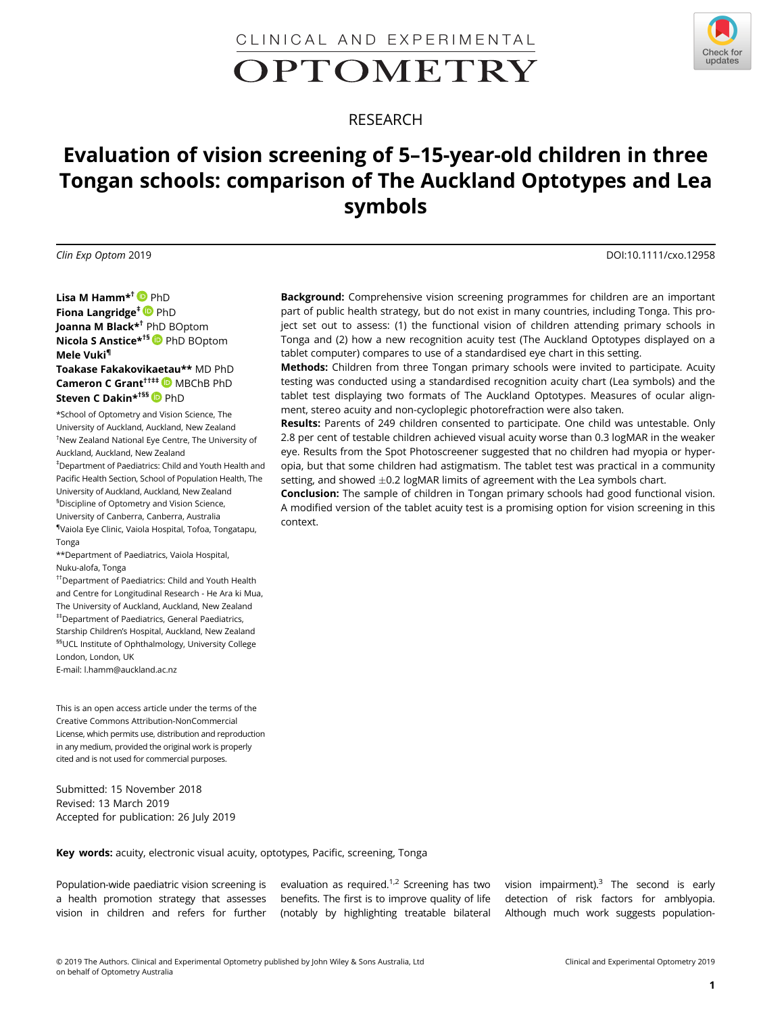CLINICAL AND EXPERIMENTAL

# OPTOMETRY

RESEARCH

# Evaluation of vision screening of 5–15-year-old children in three Tongan schools: comparison of The Auckland Optotypes and Lea symbols

Clin Exp Optom 2019 DOI:10.1111/cxo.12958

Check for

updates

Lisa M Hamm<sup>\*†</sup>  $\bullet$  PhD Fiona Langridge<sup># D</sup> PhD Joanna M Black\*† PhD BOptom Nicola S Anstice\*<sup>†§</sup> PhD BOptom Mele Vuki¶

Toakase Fakakovikaetau\*\* MD PhD Cameron C Grant<sup>††‡‡</sup> MBChB PhD Steven C Dakin\*<sup>†§§</sup> PhD

\*School of Optometry and Vision Science, The University of Auckland, Auckland, New Zealand † New Zealand National Eye Centre, The University of Auckland, Auckland, New Zealand ‡ Department of Paediatrics: Child and Youth Health and Pacific Health Section, School of Population Health, The University of Auckland, Auckland, New Zealand  $^{\mathbb{S}}$ Discipline of Optometry and Vision Science, University of Canberra, Canberra, Australia ¶ Vaiola Eye Clinic, Vaiola Hospital, Tofoa, Tongatapu, Tonga

\*\*Department of Paediatrics, Vaiola Hospital, Nuku-alofa, Tonga

††Department of Paediatrics: Child and Youth Health and Centre for Longitudinal Research - He Ara ki Mua, The University of Auckland, Auckland, New Zealand ‡‡Department of Paediatrics, General Paediatrics, Starship Children's Hospital, Auckland, New Zealand §§UCL Institute of Ophthalmology, University College London, London, UK E-mail: [l.hamm@auckland.ac.nz](mailto:l.hamm@auckland.ac.nz)

This is an open access article under the terms of the [Creative Commons Attribution-NonCommercial](http://creativecommons.org/licenses/by-nc/4.0/) License, which permits use, distribution and reproduction in any medium, provided the original work is properly cited and is not used for commercial purposes.

Submitted: 15 November 2018 Revised: 13 March 2019 Accepted for publication: 26 July 2019

Background: Comprehensive vision screening programmes for children are an important part of public health strategy, but do not exist in many countries, including Tonga. This project set out to assess: (1) the functional vision of children attending primary schools in Tonga and (2) how a new recognition acuity test (The Auckland Optotypes displayed on a tablet computer) compares to use of a standardised eye chart in this setting.

Methods: Children from three Tongan primary schools were invited to participate. Acuity testing was conducted using a standardised recognition acuity chart (Lea symbols) and the tablet test displaying two formats of The Auckland Optotypes. Measures of ocular alignment, stereo acuity and non-cycloplegic photorefraction were also taken.

Results: Parents of 249 children consented to participate. One child was untestable. Only 2.8 per cent of testable children achieved visual acuity worse than 0.3 logMAR in the weaker eye. Results from the Spot Photoscreener suggested that no children had myopia or hyperopia, but that some children had astigmatism. The tablet test was practical in a community setting, and showed  $\pm$ 0.2 logMAR limits of agreement with the Lea symbols chart.

Conclusion: The sample of children in Tongan primary schools had good functional vision. A modified version of the tablet acuity test is a promising option for vision screening in this context.

Key words: acuity, electronic visual acuity, optotypes, Pacific, screening, Tonga

Population-wide paediatric vision screening is a health promotion strategy that assesses vision in children and refers for further evaluation as required. $1/2$  Screening has two benefits. The first is to improve quality of life (notably by highlighting treatable bilateral vision impairment). $3$  The second is early detection of risk factors for amblyopia. Although much work suggests population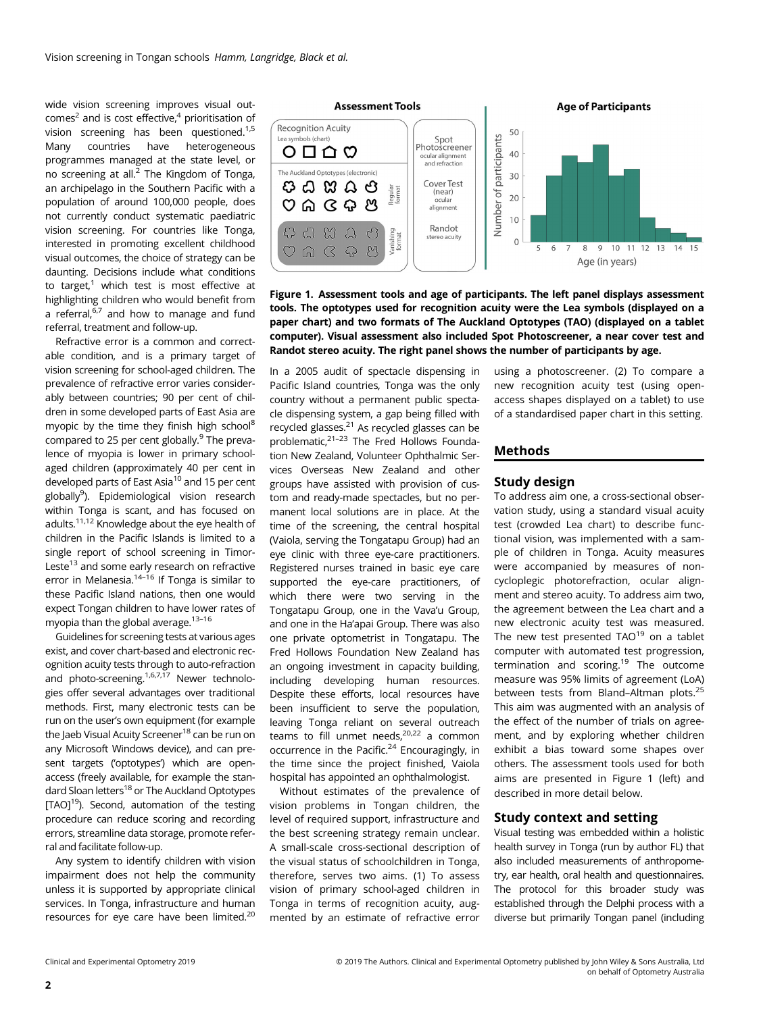wide vision screening improves visual outcomes<sup>2</sup> and is cost effective, $4$  prioritisation of vision screening has been questioned.<sup>1,5</sup> Many countries have heterogeneous programmes managed at the state level, or no screening at all. $^2$  The Kingdom of Tonga, an archipelago in the Southern Pacific with a population of around 100,000 people, does not currently conduct systematic paediatric vision screening. For countries like Tonga, interested in promoting excellent childhood visual outcomes, the choice of strategy can be daunting. Decisions include what conditions to target, $1$  which test is most effective at highlighting children who would benefit from a referral, $6,7$  and how to manage and fund referral, treatment and follow-up.

Refractive error is a common and correctable condition, and is a primary target of vision screening for school-aged children. The prevalence of refractive error varies considerably between countries; 90 per cent of children in some developed parts of East Asia are myopic by the time they finish high school<sup>8</sup> compared to 25 per cent globally. $9$  The prevalence of myopia is lower in primary schoolaged children (approximately 40 per cent in developed parts of East Asia<sup>10</sup> and 15 per cent globally<sup>9</sup>). Epidemiological vision research within Tonga is scant, and has focused on adults.11,12 Knowledge about the eye health of children in the Pacific Islands is limited to a single report of school screening in Timor-Leste<sup>13</sup> and some early research on refractive error in Melanesia.<sup>14-16</sup> If Tonga is similar to these Pacific Island nations, then one would expect Tongan children to have lower rates of myopia than the global average.<sup>13-16</sup>

Guidelines for screening tests at various ages exist, and cover chart-based and electronic recognition acuity tests through to auto-refraction and photo-screening.<sup>1,6,7,17</sup> Newer technologies offer several advantages over traditional methods. First, many electronic tests can be run on the user's own equipment (for example the Jaeb Visual Acuity Screener<sup>18</sup> can be run on any Microsoft Windows device), and can present targets ('optotypes') which are openaccess (freely available, for example the standard Sloan letters<sup>18</sup> or The Auckland Optotypes [TAO]<sup>19</sup>). Second, automation of the testing procedure can reduce scoring and recording errors, streamline data storage, promote referral and facilitate follow-up.

Any system to identify children with vision impairment does not help the community unless it is supported by appropriate clinical services. In Tonga, infrastructure and human resources for eye care have been limited.<sup>20</sup>



Figure 1. Assessment tools and age of participants. The left panel displays assessment tools. The optotypes used for recognition acuity were the Lea symbols (displayed on a paper chart) and two formats of The Auckland Optotypes (TAO) (displayed on a tablet computer). Visual assessment also included Spot Photoscreener, a near cover test and Randot stereo acuity. The right panel shows the number of participants by age.

In a 2005 audit of spectacle dispensing in Pacific Island countries, Tonga was the only country without a permanent public spectacle dispensing system, a gap being filled with recycled glasses.21 As recycled glasses can be problematic,21–<sup>23</sup> The Fred Hollows Foundation New Zealand, Volunteer Ophthalmic Services Overseas New Zealand and other groups have assisted with provision of custom and ready-made spectacles, but no permanent local solutions are in place. At the time of the screening, the central hospital (Vaiola, serving the Tongatapu Group) had an eye clinic with three eye-care practitioners. Registered nurses trained in basic eye care supported the eye-care practitioners, of which there were two serving in the Tongatapu Group, one in the Vava'u Group, and one in the Ha'apai Group. There was also one private optometrist in Tongatapu. The Fred Hollows Foundation New Zealand has an ongoing investment in capacity building, including developing human resources. Despite these efforts, local resources have been insufficient to serve the population, leaving Tonga reliant on several outreach teams to fill unmet needs, $20,22$  a common occurrence in the Pacific.<sup>24</sup> Encouragingly, in the time since the project finished, Vaiola hospital has appointed an ophthalmologist.

Without estimates of the prevalence of vision problems in Tongan children, the level of required support, infrastructure and the best screening strategy remain unclear. A small-scale cross-sectional description of the visual status of schoolchildren in Tonga, therefore, serves two aims. (1) To assess vision of primary school-aged children in Tonga in terms of recognition acuity, augmented by an estimate of refractive error

using a photoscreener. (2) To compare a new recognition acuity test (using openaccess shapes displayed on a tablet) to use of a standardised paper chart in this setting.

### Methods

#### Study design

To address aim one, a cross-sectional observation study, using a standard visual acuity test (crowded Lea chart) to describe functional vision, was implemented with a sample of children in Tonga. Acuity measures were accompanied by measures of noncycloplegic photorefraction, ocular alignment and stereo acuity. To address aim two, the agreement between the Lea chart and a new electronic acuity test was measured. The new test presented TAO<sup>19</sup> on a tablet computer with automated test progression, termination and scoring.<sup>19</sup> The outcome measure was 95% limits of agreement (LoA) between tests from Bland–Altman plots.<sup>25</sup> This aim was augmented with an analysis of the effect of the number of trials on agreement, and by exploring whether children exhibit a bias toward some shapes over others. The assessment tools used for both aims are presented in Figure 1 (left) and described in more detail below.

#### Study context and setting

Visual testing was embedded within a holistic health survey in Tonga (run by author FL) that also included measurements of anthropometry, ear health, oral health and questionnaires. The protocol for this broader study was established through the Delphi process with a diverse but primarily Tongan panel (including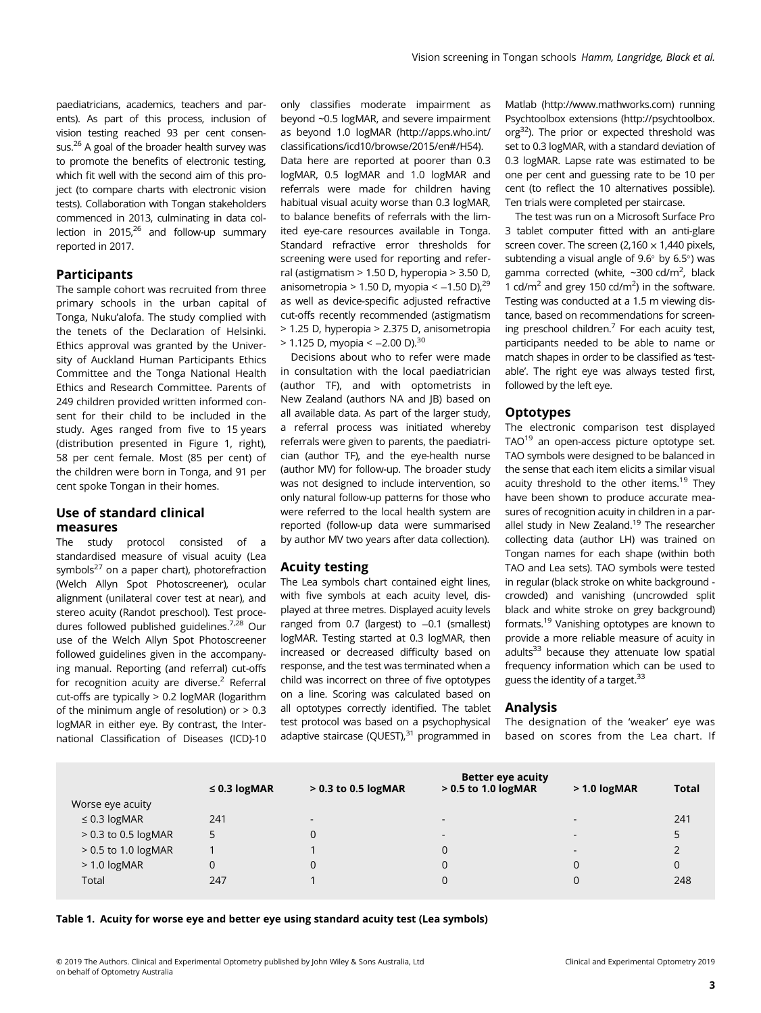paediatricians, academics, teachers and parents). As part of this process, inclusion of vision testing reached 93 per cent consensus.<sup>26</sup> A goal of the broader health survey was to promote the benefits of electronic testing, which fit well with the second aim of this project (to compare charts with electronic vision tests). Collaboration with Tongan stakeholders commenced in 2013, culminating in data collection in 2015. $^{26}$  and follow-up summary reported in 2017.

#### Participants

The sample cohort was recruited from three primary schools in the urban capital of Tonga, Nuku'alofa. The study complied with the tenets of the Declaration of Helsinki. Ethics approval was granted by the University of Auckland Human Participants Ethics Committee and the Tonga National Health Ethics and Research Committee. Parents of 249 children provided written informed consent for their child to be included in the study. Ages ranged from five to 15 years (distribution presented in Figure 1, right), 58 per cent female. Most (85 per cent) of the children were born in Tonga, and 91 per cent spoke Tongan in their homes.

# Use of standard clinical measures

The study protocol consisted of a standardised measure of visual acuity (Lea symbols<sup>27</sup> on a paper chart), photorefraction (Welch Allyn Spot Photoscreener), ocular alignment (unilateral cover test at near), and stereo acuity (Randot preschool). Test procedures followed published guidelines.<sup>7,28</sup> Our use of the Welch Allyn Spot Photoscreener followed guidelines given in the accompanying manual. Reporting (and referral) cut-offs for recognition acuity are diverse.<sup>2</sup> Referral cut-offs are typically > 0.2 logMAR (logarithm of the minimum angle of resolution) or > 0.3 logMAR in either eye. By contrast, the International Classification of Diseases (ICD)-10

only classifies moderate impairment as beyond ~0.5 logMAR, and severe impairment as beyond 1.0 logMAR [\(http://apps.who.int/](http://apps.who.int/classifications/icd10/browse/2015/en%23/H54) classifi[cations/icd10/browse/2015/en#/H54](http://apps.who.int/classifications/icd10/browse/2015/en%23/H54)). Data here are reported at poorer than 0.3 logMAR, 0.5 logMAR and 1.0 logMAR and referrals were made for children having habitual visual acuity worse than 0.3 logMAR, to balance benefits of referrals with the limited eye-care resources available in Tonga. Standard refractive error thresholds for screening were used for reporting and referral (astigmatism > 1.50 D, hyperopia > 3.50 D, anisometropia > 1.50 D, myopia <  $-1.50$  D),<sup>29</sup> as well as device-specific adjusted refractive cut-offs recently recommended (astigmatism > 1.25 D, hyperopia > 2.375 D, anisometropia > 1.125 D, myopia < -2.00 D).<sup>30</sup>

Decisions about who to refer were made in consultation with the local paediatrician (author TF), and with optometrists in New Zealand (authors NA and JB) based on all available data. As part of the larger study, a referral process was initiated whereby referrals were given to parents, the paediatrician (author TF), and the eye-health nurse (author MV) for follow-up. The broader study was not designed to include intervention, so only natural follow-up patterns for those who were referred to the local health system are reported (follow-up data were summarised by author MV two years after data collection).

# Acuity testing

The Lea symbols chart contained eight lines, with five symbols at each acuity level, displayed at three metres. Displayed acuity levels ranged from 0.7 (largest) to −0.1 (smallest) logMAR. Testing started at 0.3 logMAR, then increased or decreased difficulty based on response, and the test was terminated when a child was incorrect on three of five optotypes on a line. Scoring was calculated based on all optotypes correctly identified. The tablet test protocol was based on a psychophysical adaptive staircase (QUEST), $31$  programmed in

Matlab [\(http://www.mathworks.com\)](http://www.mathworks.com) running Psychtoolbox extensions [\(http://psychtoolbox.](http://psychtoolbox.org)  $\text{org}^{32}$  $\text{org}^{32}$  $\text{org}^{32}$ ). The prior or expected threshold was set to 0.3 logMAR, with a standard deviation of 0.3 logMAR. Lapse rate was estimated to be one per cent and guessing rate to be 10 per cent (to reflect the 10 alternatives possible). Ten trials were completed per staircase.

The test was run on a Microsoft Surface Pro 3 tablet computer fitted with an anti-glare screen cover. The screen (2,160  $\times$  1,440 pixels, subtending a visual angle of  $9.6^{\circ}$  by  $6.5^{\circ}$ ) was gamma corrected (white, ~300 cd/m<sup>2</sup>, black 1 cd/m<sup>2</sup> and grey 150 cd/m<sup>2</sup>) in the software. Testing was conducted at a 1.5 m viewing distance, based on recommendations for screening preschool children. $^7$  For each acuity test, participants needed to be able to name or match shapes in order to be classified as 'testable'. The right eye was always tested first, followed by the left eye.

# **Optotypes**

The electronic comparison test displayed TAO<sup>19</sup> an open-access picture optotype set. TAO symbols were designed to be balanced in the sense that each item elicits a similar visual acuity threshold to the other items.<sup>19</sup> They have been shown to produce accurate measures of recognition acuity in children in a parallel study in New Zealand.<sup>19</sup> The researcher collecting data (author LH) was trained on Tongan names for each shape (within both TAO and Lea sets). TAO symbols were tested in regular (black stroke on white background crowded) and vanishing (uncrowded split black and white stroke on grey background) formats.19 Vanishing optotypes are known to provide a more reliable measure of acuity in adults<sup>33</sup> because they attenuate low spatial frequency information which can be used to guess the identity of a target. $33$ 

#### Analysis

The designation of the 'weaker' eye was based on scores from the Lea chart. If

| Worse eye acuity      | $\leq$ 0.3 logMAR | $> 0.3$ to 0.5 logMAR | <b>Better eye acuity</b><br>> 0.5 to 1.0 logMAR | $>$ 1.0 logMAR           | <b>Total</b> |
|-----------------------|-------------------|-----------------------|-------------------------------------------------|--------------------------|--------------|
| $\leq$ 0.3 logMAR     | 241               | -                     | $\overline{\phantom{0}}$                        | $\overline{\phantom{a}}$ | 241          |
| $> 0.3$ to 0.5 logMAR | 5                 |                       | $\overline{\phantom{0}}$                        | $\sim$                   |              |
| $> 0.5$ to 1.0 logMAR |                   |                       | 0                                               |                          |              |
| $> 1.0$ logMAR        | 0                 |                       | 0                                               | 0                        | 0            |
| Total                 | 247               |                       |                                                 |                          | 248          |

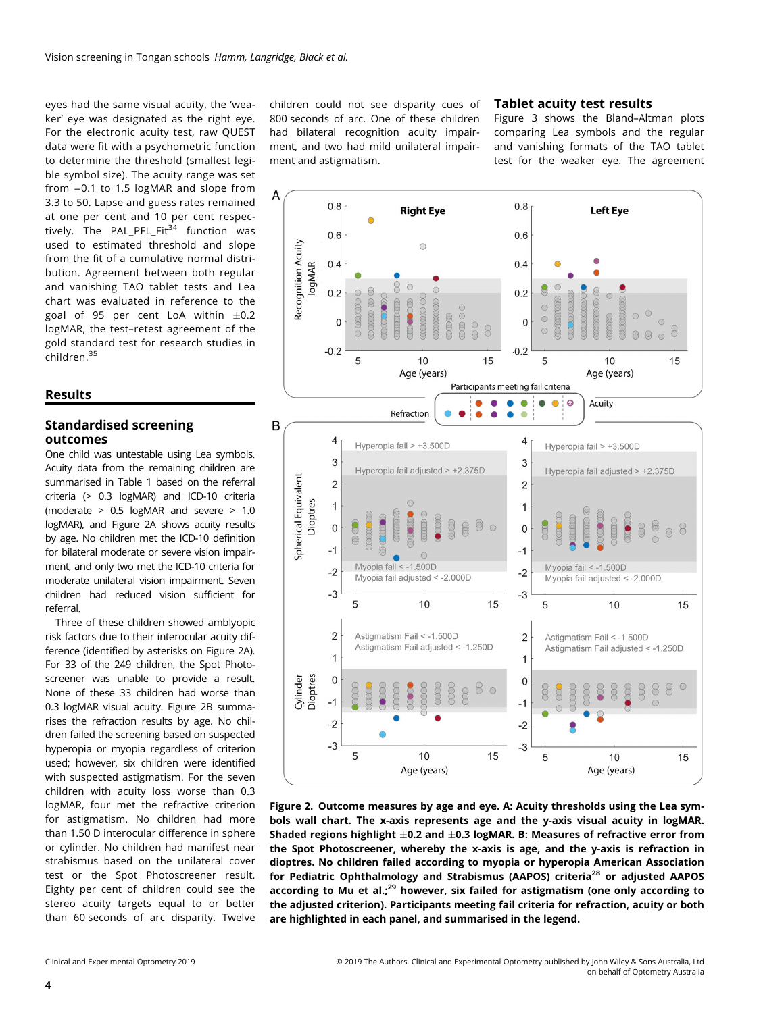eyes had the same visual acuity, the 'weaker' eye was designated as the right eye. For the electronic acuity test, raw QUEST data were fit with a psychometric function to determine the threshold (smallest legible symbol size). The acuity range was set from −0.1 to 1.5 logMAR and slope from 3.3 to 50. Lapse and guess rates remained at one per cent and 10 per cent respectively. The PAL\_PFL\_Fit<sup>34</sup> function was used to estimated threshold and slope from the fit of a cumulative normal distribution. Agreement between both regular and vanishing TAO tablet tests and Lea chart was evaluated in reference to the goal of 95 per cent LoA within  $\pm 0.2$ logMAR, the test–retest agreement of the gold standard test for research studies in children.<sup>35</sup>

#### Results

#### Standardised screening outcomes

One child was untestable using Lea symbols. Acuity data from the remaining children are summarised in Table 1 based on the referral criteria (> 0.3 logMAR) and ICD-10 criteria (moderate  $> 0.5$  logMAR and severe  $> 1.0$ logMAR), and Figure 2A shows acuity results by age. No children met the ICD-10 definition for bilateral moderate or severe vision impairment, and only two met the ICD-10 criteria for moderate unilateral vision impairment. Seven children had reduced vision sufficient for referral.

Three of these children showed amblyopic risk factors due to their interocular acuity difference (identified by asterisks on Figure 2A). For 33 of the 249 children, the Spot Photoscreener was unable to provide a result. None of these 33 children had worse than 0.3 logMAR visual acuity. Figure 2B summarises the refraction results by age. No children failed the screening based on suspected hyperopia or myopia regardless of criterion used; however, six children were identified with suspected astigmatism. For the seven children with acuity loss worse than 0.3 logMAR, four met the refractive criterion for astigmatism. No children had more than 1.50 D interocular difference in sphere or cylinder. No children had manifest near strabismus based on the unilateral cover test or the Spot Photoscreener result. Eighty per cent of children could see the stereo acuity targets equal to or better than 60 seconds of arc disparity. Twelve

children could not see disparity cues of 800 seconds of arc. One of these children had bilateral recognition acuity impairment, and two had mild unilateral impairment and astigmatism.

#### Tablet acuity test results

Figure 3 shows the Bland–Altman plots comparing Lea symbols and the regular and vanishing formats of the TAO tablet test for the weaker eye. The agreement



Figure 2. Outcome measures by age and eye. A: Acuity thresholds using the Lea symbols wall chart. The x-axis represents age and the y-axis visual acuity in logMAR. Shaded regions highlight  $\pm$ 0.2 and  $\pm$ 0.3 logMAR. B: Measures of refractive error from the Spot Photoscreener, whereby the x-axis is age, and the y-axis is refraction in dioptres. No children failed according to myopia or hyperopia American Association for Pediatric Ophthalmology and Strabismus (AAPOS) criteria<sup>28</sup> or adjusted AAPOS according to Mu et al.;<sup>29</sup> however, six failed for astigmatism (one only according to the adjusted criterion). Participants meeting fail criteria for refraction, acuity or both are highlighted in each panel, and summarised in the legend.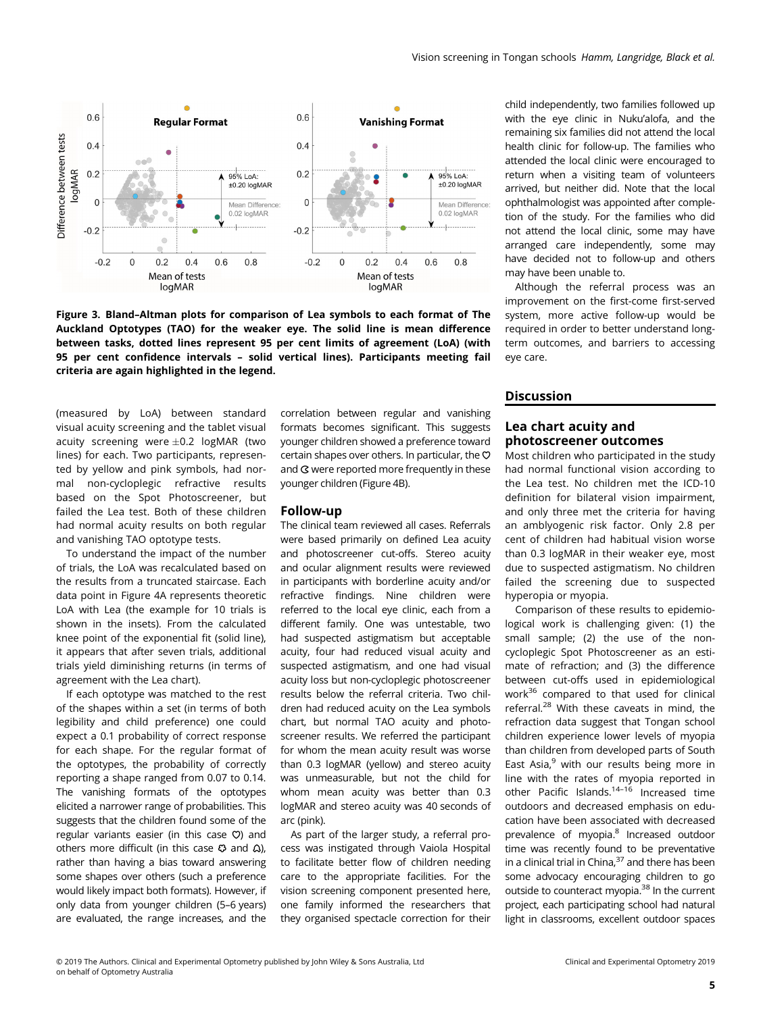

Figure 3. Bland–Altman plots for comparison of Lea symbols to each format of The Auckland Optotypes (TAO) for the weaker eye. The solid line is mean difference between tasks, dotted lines represent 95 per cent limits of agreement (LoA) (with 95 per cent confidence intervals – solid vertical lines). Participants meeting fail criteria are again highlighted in the legend.

(measured by LoA) between standard visual acuity screening and the tablet visual acuity screening were  $\pm 0.2$  logMAR (two lines) for each. Two participants, represented by yellow and pink symbols, had normal non-cycloplegic refractive results based on the Spot Photoscreener, but failed the Lea test. Both of these children had normal acuity results on both regular and vanishing TAO optotype tests.

To understand the impact of the number of trials, the LoA was recalculated based on the results from a truncated staircase. Each data point in Figure 4A represents theoretic LoA with Lea (the example for 10 trials is shown in the insets). From the calculated knee point of the exponential fit (solid line), it appears that after seven trials, additional trials yield diminishing returns (in terms of agreement with the Lea chart).

If each optotype was matched to the rest of the shapes within a set (in terms of both legibility and child preference) one could expect a 0.1 probability of correct response for each shape. For the regular format of the optotypes, the probability of correctly reporting a shape ranged from 0.07 to 0.14. The vanishing formats of the optotypes elicited a narrower range of probabilities. This suggests that the children found some of the regular variants easier (in this case  $\heartsuit$ ) and others more difficult (in this case  $\mathfrak{S}$  and  $\Delta$ ), rather than having a bias toward answering some shapes over others (such a preference would likely impact both formats). However, if only data from younger children (5–6 years) are evaluated, the range increases, and the

correlation between regular and vanishing formats becomes significant. This suggests younger children showed a preference toward certain shapes over others. In particular, the  $\heartsuit$ and G were reported more frequently in these younger children (Figure 4B).

#### Follow-up

The clinical team reviewed all cases. Referrals were based primarily on defined Lea acuity and photoscreener cut-offs. Stereo acuity and ocular alignment results were reviewed in participants with borderline acuity and/or refractive findings. Nine children were referred to the local eye clinic, each from a different family. One was untestable, two had suspected astigmatism but acceptable acuity, four had reduced visual acuity and suspected astigmatism, and one had visual acuity loss but non-cycloplegic photoscreener results below the referral criteria. Two children had reduced acuity on the Lea symbols chart, but normal TAO acuity and photoscreener results. We referred the participant for whom the mean acuity result was worse than 0.3 logMAR (yellow) and stereo acuity was unmeasurable, but not the child for whom mean acuity was better than 0.3 logMAR and stereo acuity was 40 seconds of arc (pink).

As part of the larger study, a referral process was instigated through Vaiola Hospital to facilitate better flow of children needing care to the appropriate facilities. For the vision screening component presented here, one family informed the researchers that they organised spectacle correction for their child independently, two families followed up with the eye clinic in Nuku'alofa, and the remaining six families did not attend the local health clinic for follow-up. The families who attended the local clinic were encouraged to return when a visiting team of volunteers arrived, but neither did. Note that the local ophthalmologist was appointed after completion of the study. For the families who did not attend the local clinic, some may have arranged care independently, some may have decided not to follow-up and others may have been unable to.

Although the referral process was an improvement on the first-come first-served system, more active follow-up would be required in order to better understand longterm outcomes, and barriers to accessing eye care.

# Discussion

#### Lea chart acuity and photoscreener outcomes

Most children who participated in the study had normal functional vision according to the Lea test. No children met the ICD-10 definition for bilateral vision impairment, and only three met the criteria for having an amblyogenic risk factor. Only 2.8 per cent of children had habitual vision worse than 0.3 logMAR in their weaker eye, most due to suspected astigmatism. No children failed the screening due to suspected hyperopia or myopia.

Comparison of these results to epidemiological work is challenging given: (1) the small sample; (2) the use of the noncycloplegic Spot Photoscreener as an estimate of refraction; and (3) the difference between cut-offs used in epidemiological work<sup>36</sup> compared to that used for clinical referral.<sup>28</sup> With these caveats in mind, the refraction data suggest that Tongan school children experience lower levels of myopia than children from developed parts of South East Asia, $9$  with our results being more in line with the rates of myopia reported in other Pacific Islands.14–<sup>16</sup> Increased time outdoors and decreased emphasis on education have been associated with decreased prevalence of myopia.<sup>8</sup> Increased outdoor time was recently found to be preventative in a clinical trial in China, $37$  and there has been some advocacy encouraging children to go outside to counteract myopia.38 In the current project, each participating school had natural light in classrooms, excellent outdoor spaces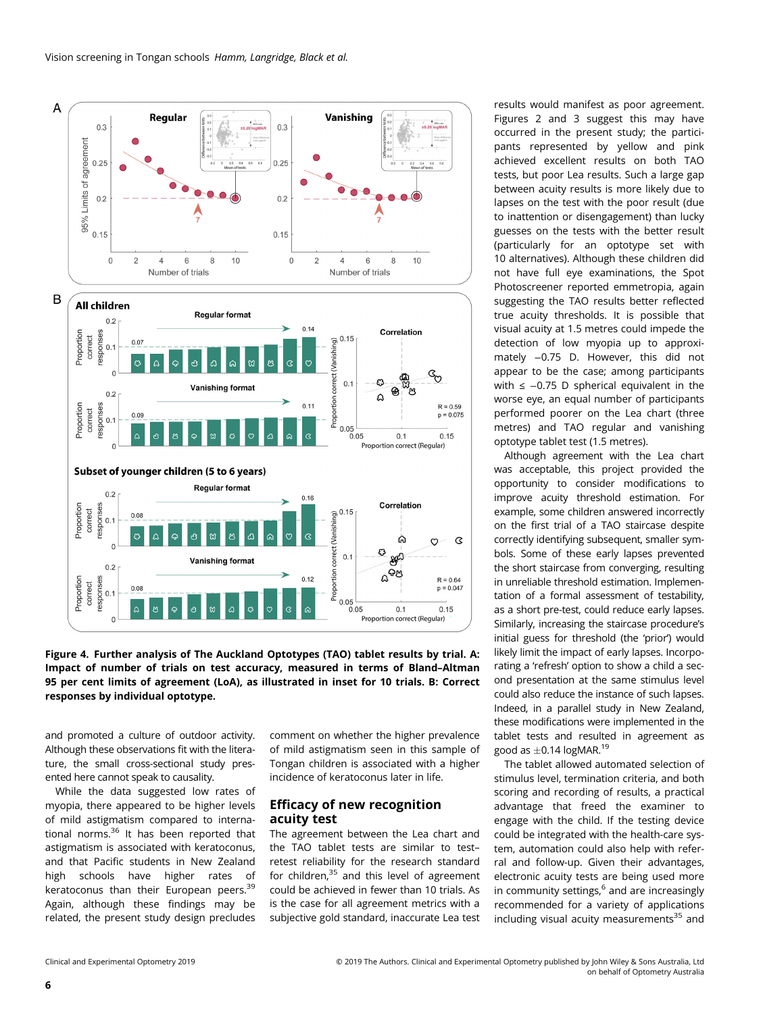

Figure 4. Further analysis of The Auckland Optotypes (TAO) tablet results by trial. A: Impact of number of trials on test accuracy, measured in terms of Bland–Altman 95 per cent limits of agreement (LoA), as illustrated in inset for 10 trials. B: Correct responses by individual optotype.

and promoted a culture of outdoor activity. Although these observations fit with the literature, the small cross-sectional study presented here cannot speak to causality.

While the data suggested low rates of myopia, there appeared to be higher levels of mild astigmatism compared to international norms.<sup>36</sup> It has been reported that astigmatism is associated with keratoconus, and that Pacific students in New Zealand high schools have higher rates of keratoconus than their European peers.<sup>39</sup> Again, although these findings may be related, the present study design precludes

comment on whether the higher prevalence of mild astigmatism seen in this sample of Tongan children is associated with a higher incidence of keratoconus later in life.

### Efficacy of new recognition acuity test

The agreement between the Lea chart and the TAO tablet tests are similar to test– retest reliability for the research standard for children, $35$  and this level of agreement could be achieved in fewer than 10 trials. As is the case for all agreement metrics with a subjective gold standard, inaccurate Lea test

results would manifest as poor agreement. Figures 2 and 3 suggest this may have occurred in the present study; the participants represented by yellow and pink achieved excellent results on both TAO tests, but poor Lea results. Such a large gap between acuity results is more likely due to lapses on the test with the poor result (due to inattention or disengagement) than lucky guesses on the tests with the better result (particularly for an optotype set with 10 alternatives). Although these children did not have full eye examinations, the Spot Photoscreener reported emmetropia, again suggesting the TAO results better reflected true acuity thresholds. It is possible that visual acuity at 1.5 metres could impede the detection of low myopia up to approximately −0.75 D. However, this did not appear to be the case; among participants with ≤ -0.75 D spherical equivalent in the worse eye, an equal number of participants performed poorer on the Lea chart (three metres) and TAO regular and vanishing optotype tablet test (1.5 metres).

Although agreement with the Lea chart was acceptable, this project provided the opportunity to consider modifications to improve acuity threshold estimation. For example, some children answered incorrectly on the first trial of a TAO staircase despite correctly identifying subsequent, smaller symbols. Some of these early lapses prevented the short staircase from converging, resulting in unreliable threshold estimation. Implementation of a formal assessment of testability, as a short pre-test, could reduce early lapses. Similarly, increasing the staircase procedure's initial guess for threshold (the 'prior') would likely limit the impact of early lapses. Incorporating a 'refresh' option to show a child a second presentation at the same stimulus level could also reduce the instance of such lapses. Indeed, in a parallel study in New Zealand, these modifications were implemented in the tablet tests and resulted in agreement as good as  $\pm$ 0.14 logMAR.<sup>19</sup>

The tablet allowed automated selection of stimulus level, termination criteria, and both scoring and recording of results, a practical advantage that freed the examiner to engage with the child. If the testing device could be integrated with the health-care system, automation could also help with referral and follow-up. Given their advantages, electronic acuity tests are being used more in community settings,<sup>6</sup> and are increasingly recommended for a variety of applications including visual acuity measurements $35$  and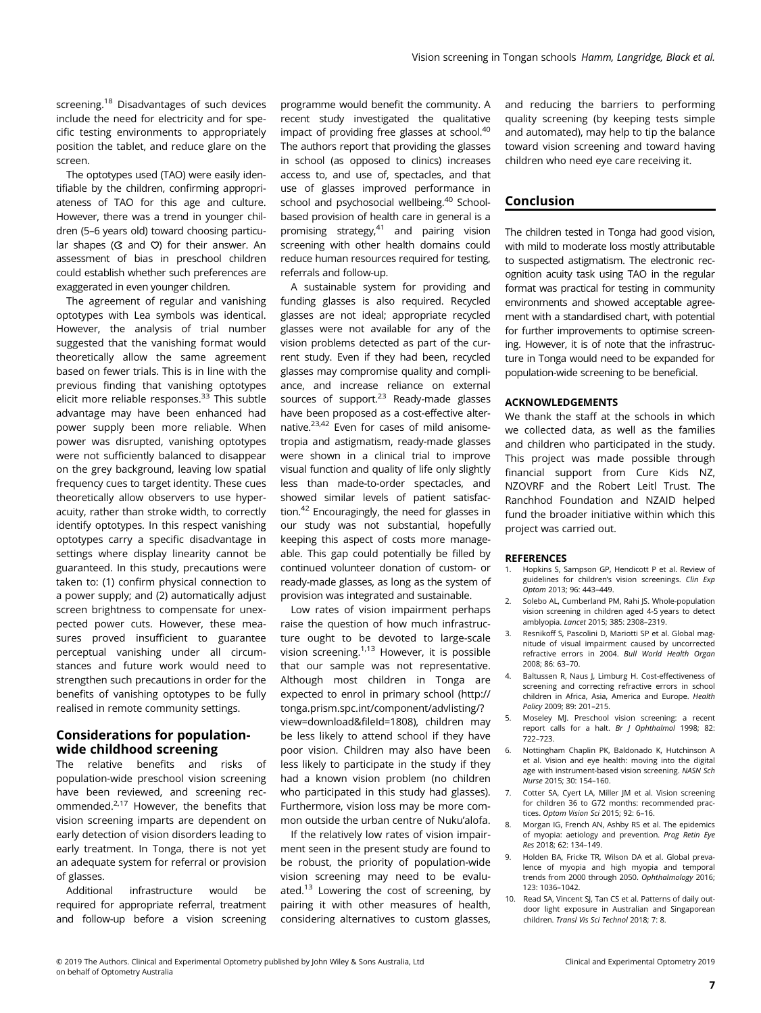screening.<sup>18</sup> Disadvantages of such devices include the need for electricity and for specific testing environments to appropriately position the tablet, and reduce glare on the screen.

The optotypes used (TAO) were easily identifiable by the children, confirming appropriateness of TAO for this age and culture. However, there was a trend in younger children (5–6 years old) toward choosing particular shapes ( $\textsf{G}$  and  $\textsf{O}$ ) for their answer. An assessment of bias in preschool children could establish whether such preferences are exaggerated in even younger children.

The agreement of regular and vanishing optotypes with Lea symbols was identical. However, the analysis of trial number suggested that the vanishing format would theoretically allow the same agreement based on fewer trials. This is in line with the previous finding that vanishing optotypes elicit more reliable responses. $33$  This subtle advantage may have been enhanced had power supply been more reliable. When power was disrupted, vanishing optotypes were not sufficiently balanced to disappear on the grey background, leaving low spatial frequency cues to target identity. These cues theoretically allow observers to use hyperacuity, rather than stroke width, to correctly identify optotypes. In this respect vanishing optotypes carry a specific disadvantage in settings where display linearity cannot be guaranteed. In this study, precautions were taken to: (1) confirm physical connection to a power supply; and (2) automatically adjust screen brightness to compensate for unexpected power cuts. However, these measures proved insufficient to guarantee perceptual vanishing under all circumstances and future work would need to strengthen such precautions in order for the benefits of vanishing optotypes to be fully realised in remote community settings.

#### Considerations for populationwide childhood screening

The relative benefits and risks of population-wide preschool vision screening have been reviewed, and screening recommended.<sup>2,17</sup> However, the benefits that vision screening imparts are dependent on early detection of vision disorders leading to early treatment. In Tonga, there is not yet an adequate system for referral or provision of glasses.

Additional infrastructure would be required for appropriate referral, treatment and follow-up before a vision screening

programme would benefit the community. A recent study investigated the qualitative impact of providing free glasses at school.<sup>40</sup> The authors report that providing the glasses in school (as opposed to clinics) increases access to, and use of, spectacles, and that use of glasses improved performance in school and psychosocial wellbeing.<sup>40</sup> Schoolbased provision of health care in general is a promising strategy,41 and pairing vision screening with other health domains could reduce human resources required for testing, referrals and follow-up.

A sustainable system for providing and funding glasses is also required. Recycled glasses are not ideal; appropriate recycled glasses were not available for any of the vision problems detected as part of the current study. Even if they had been, recycled glasses may compromise quality and compliance, and increase reliance on external sources of support.<sup>23</sup> Ready-made glasses have been proposed as a cost-effective alternative.23,42 Even for cases of mild anisometropia and astigmatism, ready-made glasses were shown in a clinical trial to improve visual function and quality of life only slightly less than made-to-order spectacles, and showed similar levels of patient satisfaction.42 Encouragingly, the need for glasses in our study was not substantial, hopefully keeping this aspect of costs more manageable. This gap could potentially be filled by continued volunteer donation of custom- or ready-made glasses, as long as the system of provision was integrated and sustainable.

Low rates of vision impairment perhaps raise the question of how much infrastructure ought to be devoted to large-scale vision screening. $1,13$  However, it is possible that our sample was not representative. Although most children in Tonga are expected to enrol in primary school (http:// tonga.prism.spc.int/component/advlisting/? view=download&fileId=1808), children may be less likely to attend school if they have poor vision. Children may also have been less likely to participate in the study if they had a known vision problem (no children who participated in this study had glasses). Furthermore, vision loss may be more common outside the urban centre of Nuku'alofa.

If the relatively low rates of vision impairment seen in the present study are found to be robust, the priority of population-wide vision screening may need to be evaluated.<sup>13</sup> Lowering the cost of screening, by pairing it with other measures of health, considering alternatives to custom glasses, and reducing the barriers to performing quality screening (by keeping tests simple and automated), may help to tip the balance toward vision screening and toward having children who need eye care receiving it.

# Conclusion

The children tested in Tonga had good vision, with mild to moderate loss mostly attributable to suspected astigmatism. The electronic recognition acuity task using TAO in the regular format was practical for testing in community environments and showed acceptable agreement with a standardised chart, with potential for further improvements to optimise screening. However, it is of note that the infrastructure in Tonga would need to be expanded for population-wide screening to be beneficial.

#### ACKNOWLEDGEMENTS

We thank the staff at the schools in which we collected data, as well as the families and children who participated in the study. This project was made possible through financial support from Cure Kids NZ, NZOVRF and the Robert Leitl Trust. The Ranchhod Foundation and NZAID helped fund the broader initiative within which this project was carried out.

#### **REFERENCES**

- 1. Hopkins S, Sampson GP, Hendicott P et al. Review of guidelines for children's vision screenings. Clin Exp Optom 2013; 96: 443–449.
- 2. Solebo AL, Cumberland PM, Rahi JS. Whole-population vision screening in children aged 4-5 years to detect amblyopia. Lancet 2015; 385: 2308–2319.
- 3. Resnikoff S, Pascolini D, Mariotti SP et al. Global magnitude of visual impairment caused by uncorrected refractive errors in 2004. Bull World Health Organ 2008; 86: 63–70.
- 4. Baltussen R, Naus J, Limburg H, Cost-effectiveness of screening and correcting refractive errors in school children in Africa, Asia, America and Europe. Health Policy 2009; 89: 201–215.
- 5. Moseley MJ. Preschool vision screening: a recent report calls for a halt. Br J Ophthalmol 1998; 82: 722–723.
- 6. Nottingham Chaplin PK, Baldonado K, Hutchinson A et al. Vision and eye health: moving into the digital age with instrument-based vision screening. NASN Sch Nurse 2015; 30: 154–160.
- 7. Cotter SA, Cyert LA, Miller JM et al. Vision screening for children 36 to G72 months: recommended practices. Optom Vision Sci 2015; 92: 6–16.
- 8. Morgan IG, French AN, Ashby RS et al. The epidemics of myopia: aetiology and prevention. Prog Retin Eye Res 2018; 62: 134–149.
- Holden BA, Fricke TR, Wilson DA et al. Global prevalence of myopia and high myopia and temporal trends from 2000 through 2050. Ophthalmology 2016; 123: 1036–1042.
- 10. Read SA, Vincent SJ, Tan CS et al. Patterns of daily outdoor light exposure in Australian and Singaporean children. Transl Vis Sci Technol 2018; 7: 8.